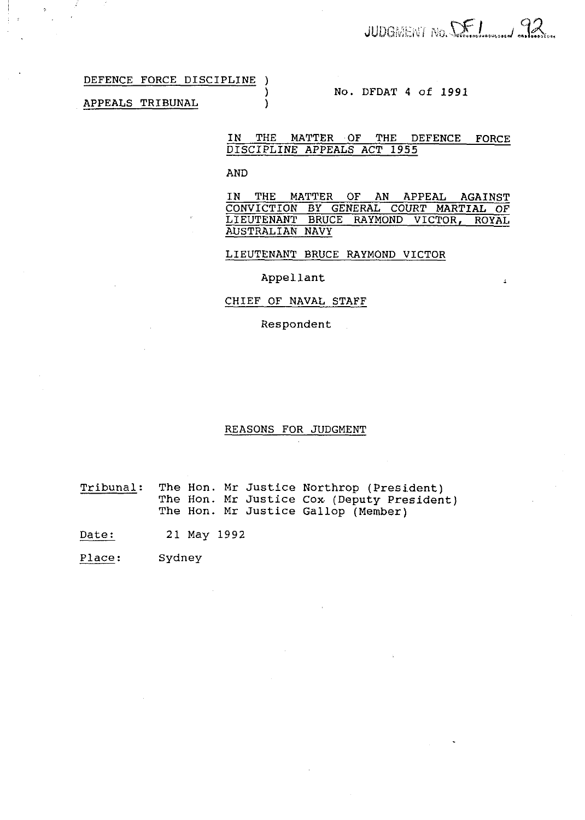$\epsilon$ 

# DEFENCE FORCE DISCIPLINE )

## APPEALS TRIBUNAL )

# ) No. DFDAT 4 of **1991**

# IN THE MATTER OF THE DEFENCE FORCE DISCIPLINE APPEALS ACT **1955**

#### AND

IN THE MATTER OF AN APPEAL AGAINST CONVICTION BY GENERAL COURT MARTIAL OF LIEUTENANT BRUCE RAYMOND VICTOR, ROYAL AUSTRALIAN NAVY

LIEUTENANT BRUCE RAYMOND VICTOR

## Appellant

### CHIEF OF NAVAL STAFF

Respondent

#### REASONS FOR JUDGMENT

Tribunal: The Hon. Mr Justice Northrop (President) The Hon. Mr Justice Cox (Deputy President) The Hon. Mr Justice Gallop (Member)

Date: 21 May 1992

Place: Sydney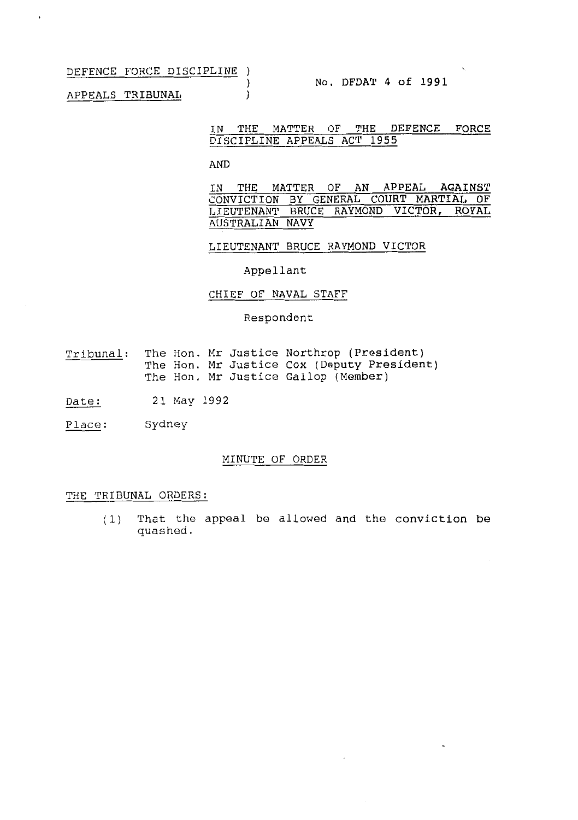DEFENCE FORCE DISCIPLINE )

APPEALS TRIBUNAL )

 $\bullet$ 

## IN THE MATTER OF THE DEFENCE FORCE DISCIPLINE APPEALS ACT 1955

AND

 $\lambda$ 

IN THE MATTER OF AN APPEAL AGAINST CONVICTION BY GENERAL COURT MARTIAL OF LIEUTENANT BRUCE RAYMOND VICTOR, ROYAL AUSTRALIAN NAVY

LIEUTENANT BRUCE RAYMOND VICTOR

Appellant

# CHIEF OF NAVAL STAFF

Respondent

- Tribunal: The Hon. Mr Justice Northrop (President) The Hon. Mr Justice Cox (Deputy President) The Hon. Mr Justice Gallop (Member)
- Date: 21 May 1992
- place: Sydney

## MINUTE OF ORDER

#### THE TRIBUNAL ORDERS:

(1) That the appeal be allowed and the conviction be quashed.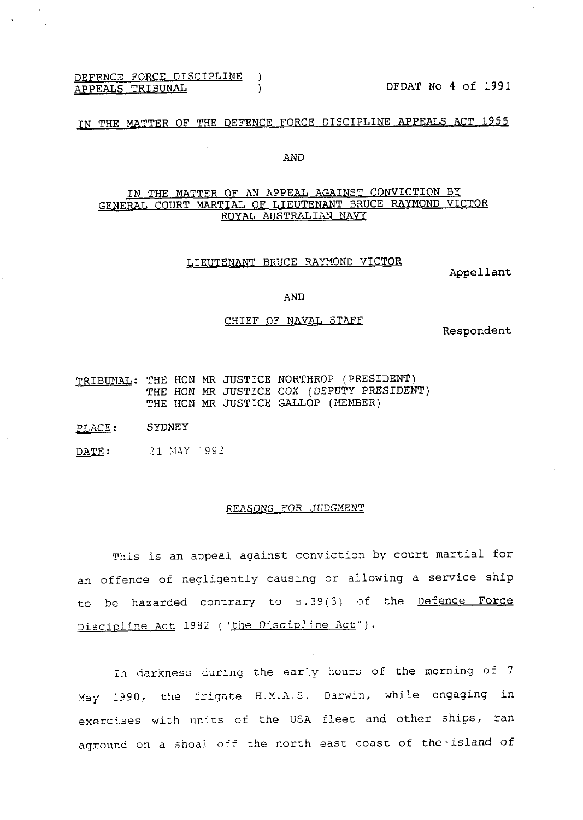DEFENCE FORCE DISCIPLINE )<br>APPEALS TRIBUNAL (1997)

DFDAT No 4 of 1991

# IN THE YATTER OF THE DEFENCE FORCE DISCIPLINE APPEALS ACT **1955**

## AND

# IN THE MATTER OF AN APPEAL AGAINST CONVICTION BY GENERAL COURT MARTIAL OF LIEUTENANT BRUCE RAYMOND VICTOR ROYAL AUSTRALIAN NAVY

## LIEUTENANT BRUCE RAYMOND VICTOR

Appellant

## AND

#### CHIEF OF NAVAL STAFF

Respondent

- TRIBUNAL: THE HON MR JUSTICE NORTHROP (PRESIDENT)<br>
THE HON MR JUSTICE COX (DEPUTY PRESIDENT)<br>
THE HON MR JUSTICE GALLOP (MEMBER)<br>
PLACE: SYDNEY<br>
DA<u>TE</u>: 21 MAY 1992 THE HON MR JUSTICE COX (DEPUTY PRESIDENT) THE HON MR JUSTICE GALLOP (MEMBER)
- PLACE: SYDNEY
- 

### REASONS FOR JUDGMENT

This is an appeal against conviction by court martial for an offence of negligently causing or allowing a service ship to be hazarded contrary to s.39(3) of the Defence Force Discipline Act 1982 ("the Discipline Act").

In darkness curing the early hours of the morning of 7 May 1990, the frigate H.M.A.S. Darwin, while engaging in exercises with unirs of the USA fleet and other ships, ran aground on a shoai off the north aasx coast of the-island of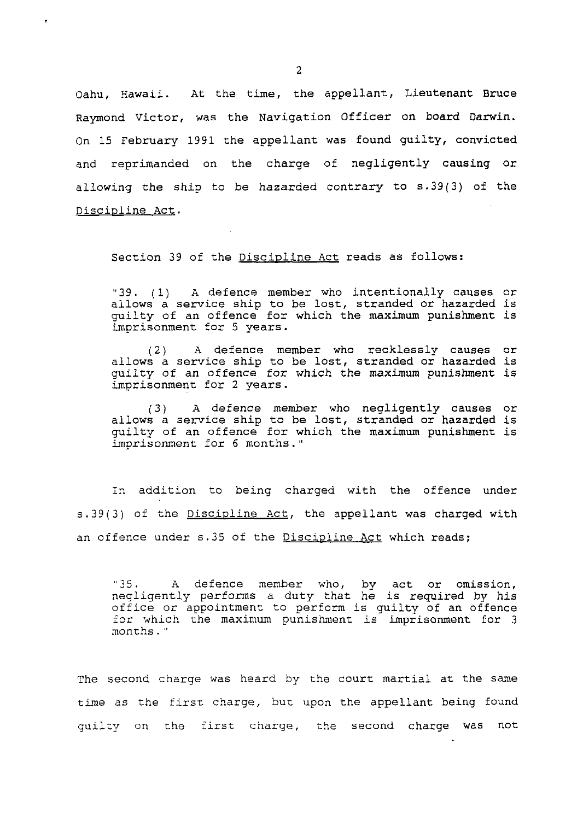Oahu, Hawaii. At the time, the appellant, Lieutenant Bruce Raymond Victor, was the Navigation Officer on board Darwin. On 15 February 1991 the appellant was found guilty, convicted and reprimanded on the charge of negligently causing or allowing the ship to be hazarded contrary to s.39(3) of the Discialine Act.

Section 39 of the Discipline Act reads as follows:

"39. (1) A defence member who intentionally causes or allows a service ship to be lost, stranded or hazarded is quilty of an offence for which the maximum punishment is imprisonment for 5 years.

**(2) A** defence member who recklessly causes or allows a service ship to be lost, stranded or hazarded is guilty of an offence for which the maximum punishment is imprisonment for 2 years.

(3) A defence member who negligently causes or allows a service ship to be lost, stranded or hazarded is guilty of an offence for which the maximum punishment is imprisonment for 6 months."

In addition to being charged with the offence under s. 39(3) of the Discipline Act, the appellant was charged with an offence under s.35 of the Discipline Act which reads;

"35. A defence member who, by act or omission, negligently performs a duty that he is required by his office or appointment to perform is guilty of an offence for which the maximum punishment is imprisonment for 3 nonths . "

The second charge was heard by the court martial at the same time as the first charge, but upon the appellant being found quilty on the first charge, the second charge was not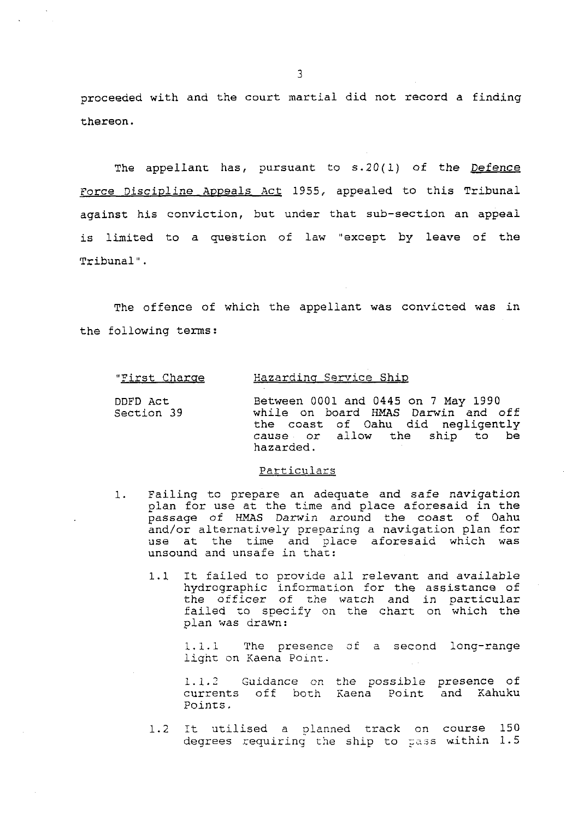proceeded with and the court martial did not record a finding thereon.

The appellant has, pursuant to  $s.20(1)$  of the Defence Force Discipline Appeals Act 1955, appealed to this Tribunal against his conviction, but under that sub-section an appeal is limited to a question of law "except by leave of the Tribunal".

The offence of which the appellant was convicted was in the following terms:

#### "First Charge Hazarding Service Ship

| DDFD ACt   | Between 0001 and 0445 on 7 May 1990 |                                                                         |
|------------|-------------------------------------|-------------------------------------------------------------------------|
| Section 39 |                                     | while on board HMAS Darwin and off<br>the coast of Oahu did negligently |
|            | hazarded.                           | cause or allow the ship to be                                           |

#### Particulars

- 1. Failing to prepare an adequate and safe navigation plan for use at the time and place aforesaid in the passage of **HMAS** Darwin around the coast of Oahu and/or alternatively preparing a navigation plan for use at the time and place aforesaid which was unsound and unsafe in that:
	- 1.1 It failed to provide all relevant and available hydrographic information for the assistance of the officer of the watch and in particular failed to specify on the chart on which the plan was drawn:

1.1.1 The presence af a second long-range light on Kaena Poinr.

1.1.2 Guidance on the possible presence of<br>currents off both Kaena Point and Kahuku currents off both Kaena Point Poinrs .

1.2 It utilised a planned track on course 150 degrees requiring the ship to pass within 1.5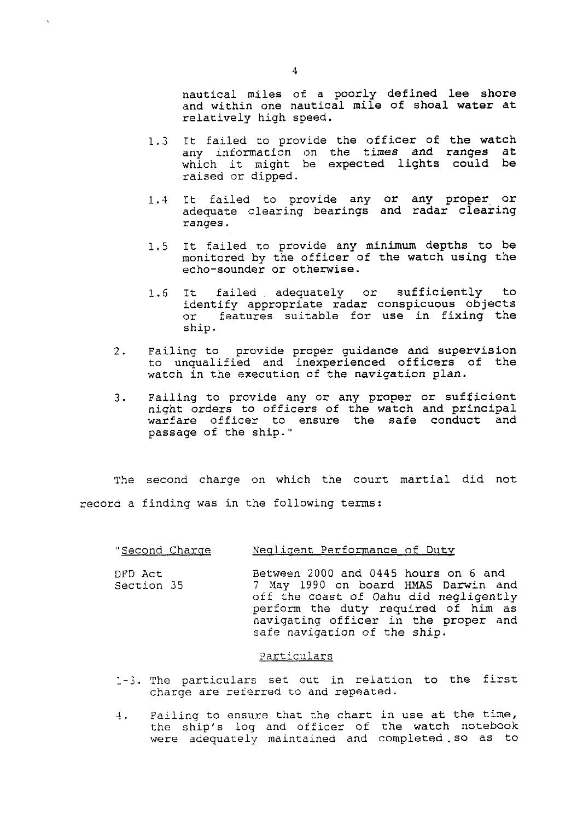nautical miles of a poorly defined lee shore and within one nautical mile of shoal water at relatively high speed.

- 1.3 It failed to provide the officer of the watch any information on the times and ranges at which it might be expected lights could be raised or dipped.
- 1.4 It failed to provide any or any proper or adequate clearing bearings and radar clearing ranges.
- 1.5 It failed to provide any minimum depths to be monitored by the officer of the watch using the echo-sounder or otherwise.
- 1.6 It failed adequately or sufficiently to identify appropriate radar conspicuous objects or features suitable for use in fixing the ship.
- 2. Failing to provide proper guidance and supervision to unqualified and inexperienced officers of the watch in the execution of the navigation plan.
- 3. Failing to provide any or any proper or sufficient night orders to officers of the watch and principal warfare officer to ensure the safe conduct and passage of the ship."

The second charge on which the court martial did not record a finding was in the following terms:

#### "Second Charge Meqligent Performance of Duty

DFD Act Between 2000 and 0445 hours on 6 and Section 35 *7* Hay 1990 on board **HMAS** Darwin and off the coast of Oahu did negligently perform the duty required of him as navigating officer in the proper and safe navigation of the ship.

### Particulars

- 1-2. The particulars set out in relation to the first charge are reierred to and repeated.
- 4. Failing to ensure that the chart in use at the time, the ship's log and officer of the watch notebook were adequately maintained and completed.so as to

 $\overline{4}$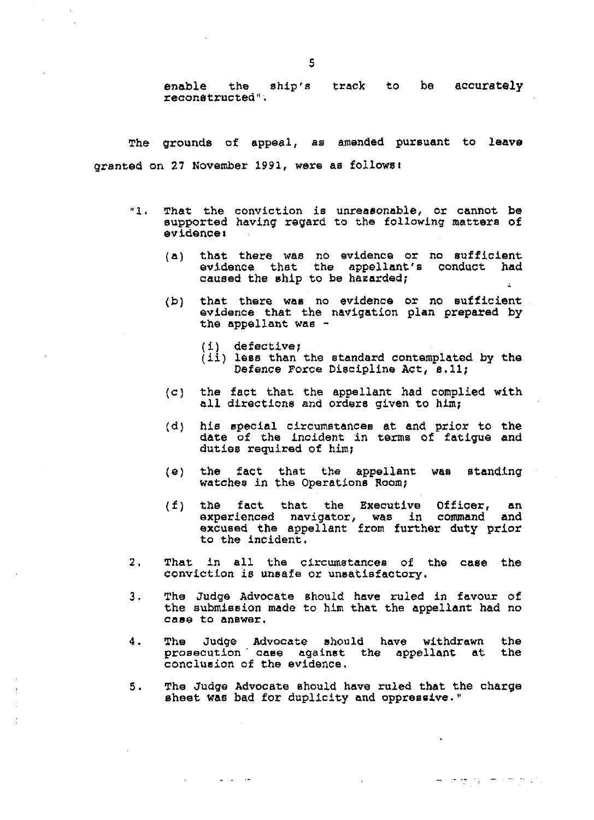enable the ship's track to **be** accurately reconetructed".

The grounds of eppeal, as amended pursuant to leave granted on 27 November 1991, were as followsl

- **"1.** That the conviction is unreasonable, or cannot be supported having regard to the following matters of evidence **I** 
	- (a) that there was no evidence or no sufficient evidence that the appellant's conduct had caused the ship to be hazarded;
	- (b) that there was no evidence or no sufficient evidence that the navigation plan prepared by the appellant was -
		- (i) defective;

سترات سارسي

- (ii) less than the standard contemplated by the Defence Force Diecipline Act, **8.11;**
- (c] the fact that the appellant had complied with all directions and orders given to him;
- (d) his special circumstances at and prior to the **date** of the incident **in** terms of fatigue and duties required of him;
- *(a)* the fact that the appellant was standing watches in the Operations Room;
- (f) the fact that the Executive Officer, an experienced navigator, was in command and excused the appellant from further duty prior to the incident.
- 2, That in all the circumstances of the case the conviction is unsafe or unsatisfactory.
- 3. The Judge Advocate should have ruled in favour of the submission made to him that the appellant had no case to answer.
- 4. The Judge Advocate should have withdrawn the prosecution case against the appellant at the conclusion of the evidence.
- **5.** The Judge Advocate should have ruled that the charge sheet **was** bad for duplicity and oppressive."

المتبادلة المستناطين الإفاريق فيناجل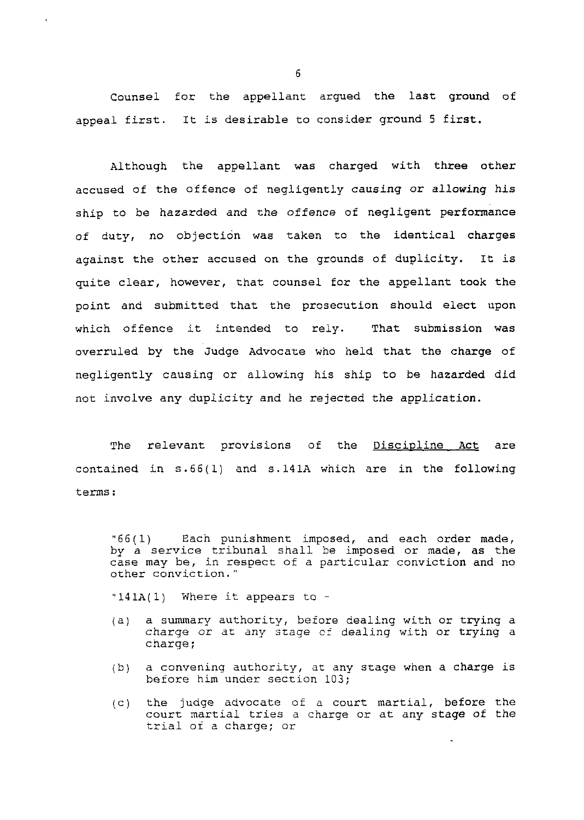Counsel for the appellant argued the last ground of appeal first. It is desirable to consider ground 5 first.

Although the appellant was charged with three other accused of the offence of negligently causing or allowing his ship to be hazarded and the offence of negligent performance of duty, no objection was taken to the identical charges against the other accused on the grounds of duplicity. It is quite clear, however, that counsel for the appellant took the point and submitted that the prosecution should elect upon which offence it intended to rely. That submission was overruled by the Judge Advocate who held that the charge of negligently causing or allowing his ship to be hazarded did not involve any duplicity and he rejected the application.

The relevant provisions of the Discipline Act are contained in s.66(1) and S. 141A which are in the following terms :

"66(1) Each punishment imposed, and each order made, by a service tribunal shall be imposed or made, as the case may be, in respect of a particular conviction and no other conviction. "

**"141A(1)** Where it appears to -

- (a) a summary authority, before dealing with or trying a charge or at any stage of dealing with or trying a charge;
- (b) a convening authority, at any stage when a charge is before him under section 103;
- (C) the judge advocate of a court martial, before the court martial tries a charge or at any stage of the trial of a charge; or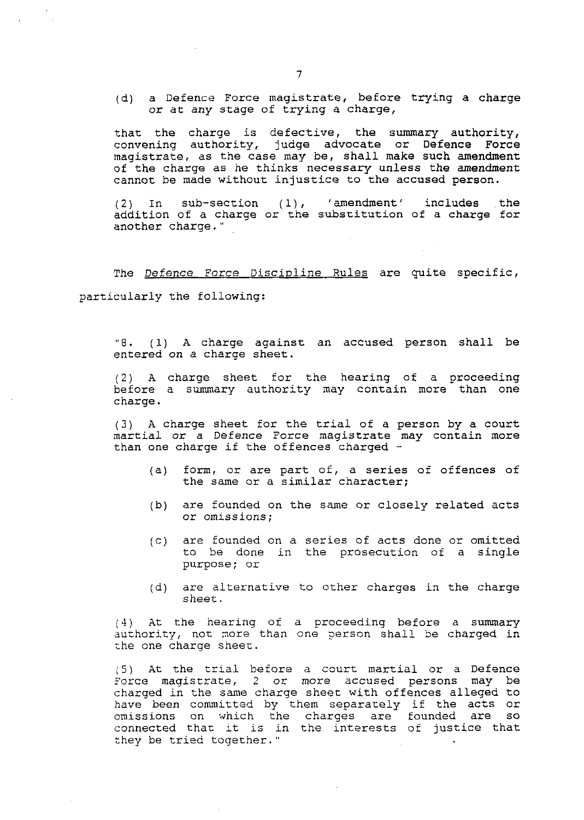(d) a Defence Force magistrate, before trying a charge or at any stage of trying a charge,

that the charge is defective, the summary authority, convening authority, judge advocate or Defence Force magistrate, as the case may be, shall make such amendment of the charge as he thinks necessary unless the amendment cannot be made without injustice to the accused person.

(2) In sub-section (1), 'amendment' includes the addition of a charge or the substitution of a charge for another charge."

The Defence Force Discipline Rules are quite specific, particularly the following:

"8. **(1)** A charge against an accused person shall be entered on a charge sheet.

(2) A charge sheet for the hearing of a proceeding before a summary authority may contain more than one charge.

(3) A charge sheet for the trial of a person by a court martial or a Defence Force magistrate may contain more than one charge if the offences charged -

- (a) form, or are part of, a series of offences of the same or a similar character;
- (b) are founded on the same or closely related acts or omissions;
- (c) are founded on a series of acts done or omitted to be done in the prosecution of a single purpose; or
- (d) are alternative to other charges in the charge sheet.

4) At the hearing of a proceeding before a summary authority, not more than one person shall be charged in :he one charge sheet.

(5) At the trial before a court martial or a Defence force magistrate, 2 or more accused persons may be charged in the same charge sheet with offences alleged to have been committed by them separately if the acts or omissions on which the charges are founded are so connected thac it is in the interests of justice that they be tried together."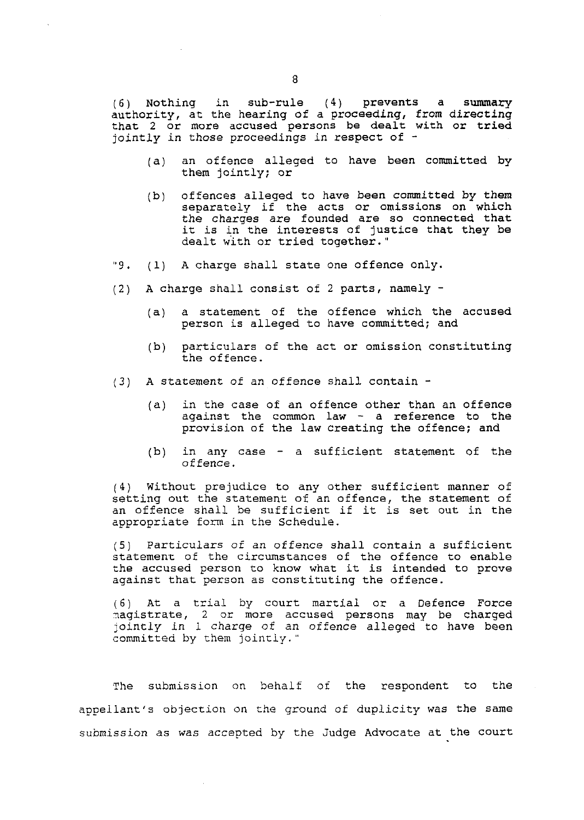(6) Nothing in sub-rule (4) prevents a summary authority, at the hearing of a proceeding, from directing that 2 or more accused persons be dealt with or tried jointly in those proceedings in respect of -

- (a) an offence alleged to have been committed by them jointly; or
- (b) offences alleged to have been committed by them separately if the acts or omissions on which the charges are founded are so connected that it is in the interests of justice that they be dealt with or tried together."
- "9. **(1)** A charge shall state one offence only.
- (2) A charge shall consist of 2 parts, namely
	- (a) a statement of the offence which the accused person is alleged to have committed; and
	- (b) particulars of the act or omission constituting the offence.
- (3) A statement of an offence shall contain
	- (a) in the case of an offence other than an offence against the common law - a reference to the provision of the law creating the offence; and
	- (b) in any case a sufficient statement of the of fence.

(4) Without prejudice to any other sufficient manner of setting out the statement of an offence, the statement of an offence shall be sufficient if it is set out in the appropriate form in the Schedule.

(5) Particulars of an offence shall contain a sufficient statement of the circumstances of the offence to enable the accused person to know what it is intended to prove against that person as constituting the offence.

(6) At a trial by court martial or a Defence Force ~agistrate, 2 or more accused persons may be charged jointly in 1 charge of an offence alleged to have been committed by them jointly."

The submission on behalf of the respondent to the appeilant's objection on the ground of duplicity was the same submission as was accepted by the Judge Advocate at the court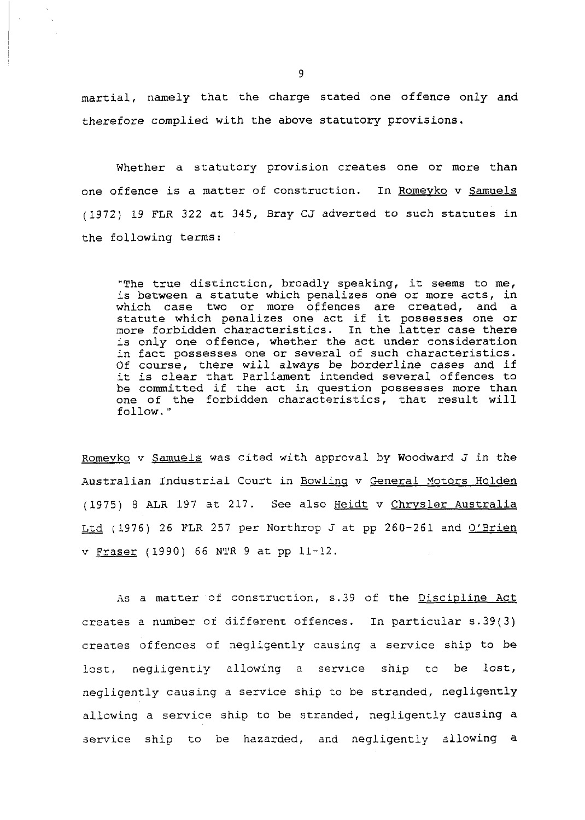martial, namely that the charge stated one offence only and therefore complied with the above statutory provisions.

Whether a statutory provision creates one or more than one offence is a matter of construction. In Romeyko v Samuels (1972) 19 FLR 322 at 345, Sray CJ adverted to such statutes in the following terms:

"The true distinction, broadly speaking, it seems to me, is between a statute which penalizes one or more acts, in which case two or more offences are created, and a statute which penalizes one act if it possesses one or more forbidden characteristics. In the latter case there is only one offence, whether the act under consideration in fact possesses one or several of such characteristics. Of course, there will always be borderline cases and if it is clear that Parliament intended several offences to be committed if the act in question possesses more than one of the forbidden characteristics, that result will follow. "

Romevko v Samuels was cited with approval by Woodward J in the Australian Industrial Court in Bowling v General Motors Holden (1975) 8 ALR 197 at 217. See also Heidt v Chrysler Australia Ltd (1976) 26 FLR 257 per Northrop J at pp 260-261 and O'Brien v Praser (1990) 66 NTR 9 at pp 11-12.

As a matter of construction, s.39 of the Discipline Act creates a number of different offences. In particular s.39(3) creates offences of negligently causing a service ship to be lost, negligently allowing a service ship to be lost, negligently causing a service ship to be stranded, negligently allowing a service ship to be stranded, negligently causing a service ship to be hazarded, and negligently allowing a

 $\bar{\lambda}$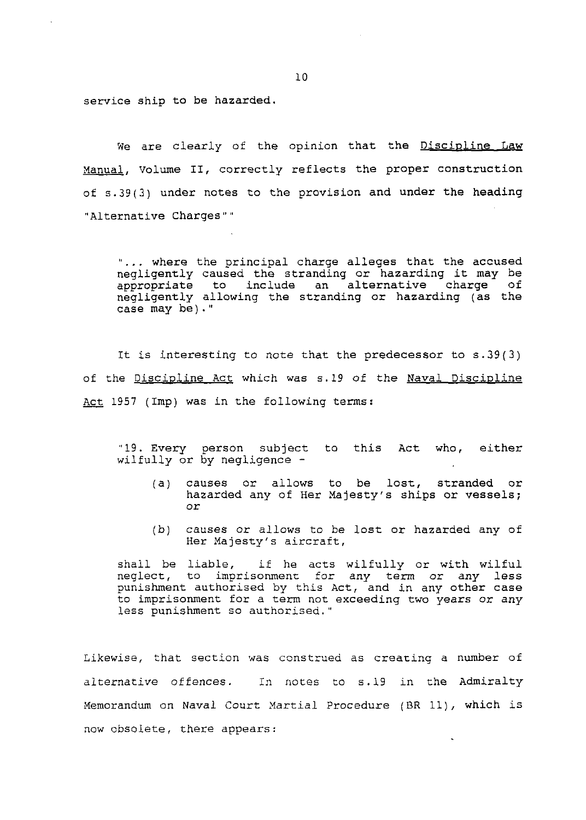service ship to be hazarded.

We are clearly of the opinion that the Discipline Law Hanual, Volume **11,** correctly reflects the proper construction of s.39(3) under notes to the provision and under the heading "Alternative Charges""

".. . where the principal charge alleges that the accused negligently caused the stranding or hazarding it may be<br>appropriate to include an alternative charge of to include an alternative negligently allowing the stranding or hazarding (as the case may be) . "

It is interesting to note that the predecessor to  $s.39(3)$ of the <u>Discipline Act</u> which was s.19 of the <u>Naval Discipline</u> It is interesting to note that the pre<br>of the <u>Discipline Act</u> which was s.19 of t<br>Act 1957 (Imp) was in the following terms:

"19. Every person subject to this Act who, either wilfully or by negligence -

- (a) causes or allows to be lost, stranded or hazarded any of Her Majesty's ships or vessels; or
- (b) causes or allows to be lost or hazarded any of Her Majesty's aircraft,

shall be liable, if he acts wilfully or with wilful neglect, to imprisonment for any term or any less punishment authorised by this Act, and in any other case to imprisonment for a term not exceeding two years or any less punishment so authorised."

Likewise, that section was construed as creating a number of alternative offences. In notes to s.19 in the Admiralty Xemorandum on Naval Court Xartial Procedure (BR ll), which is now obsolete, there appears: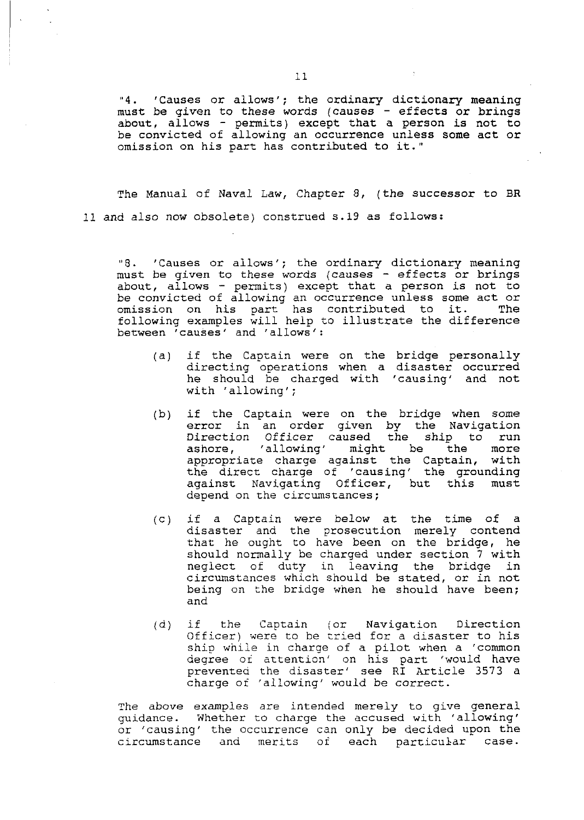**"4.** 'Causes or allows'; the ordinary dictionary meaning must be given to these words (causes - effects or brings about, allows - permits) except that a person is not to be convicted of allowing an occurrence unless some act or omission on his part has contributed to it."

The Manual of Naval Law, Chapter 8, (the successor to BR **11** and also now obsolete) construed s.19 as follows:

8. 'Causes or allows'; the ordinary dictionary meaning must be given to these words (causes - effects or brings about, allows - permits) except that a person is not to be convicted of allowing an occurrence unless some act or<br>omission on his part has contributed to it. The omission on his part has contributed to it. following examples will help to illustrate the difference between 'causes' and 'allows':

- (a) if the Captain were on the bridge personally directing operations when a disaster occurred he should be charged with 'causing' and not with 'allowing';
- (b) if the Captain were on the bridge when some error in an order given by the Navigation Direction Officer caused the ship to run ashore, 'allowing' might be the more appropriate charge against the Captain, with the direct charge of 'causing' the grounding against Navigating Officer, but this must depend on the circumstances ;
- (c) if a Captain were below at the time of a disaster and the prosecution merely contend that he ought to have been on the bridge, he should normally be charged under section 7 with neglect of duty in leaving the bridge in circumstances which should be stated, or in not being on the bridge when he should have been; and
- (d) if the Captain (or Navigation Direction Officer) were to be cried for a disaster to his ship while in charge of a pilot when a 'common degree of attention' on his part 'would have prevented the disaster' see RI Article 3573 a charge of 'allowing' would be correct.

The above examples are intended merely to give general guidance. Whether to charge the accused with 'allowing' or 'causing' the occurrence can only be decided upon the circumstance and merits of each particular case.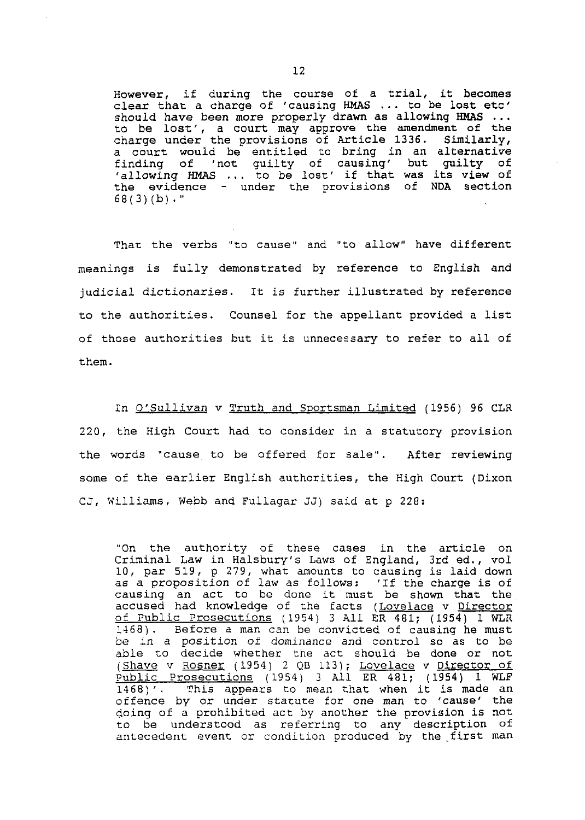However, if during the course of a trial, it becomes clear that a charge of 'causing HMAS ... to be lost etc'<br>should have been more properly drawn as allowing HMAS ... to be lost', a court may approve the amendment of the charge under the provisions of Article 1336. Similarly, a court would be entitled to bring in an alternative finding of 'not guilty of causing' but guilty of 'allowing HMAS . . . to be lost' if that was its view of the evidence - under the provisions of NDA section 68(3)(b)."

That the verbs "to cause" and "to allow" have different meanings is fully demonstrated by reference to English and judicial dictionaries. It is further illustrated by reference to the authorities. Counsel for the appellant provided a list of those authorities but it is unnecessary to refer to all of them.

In O'Sullivan v Truth and Sportsman Limited (1956) 96 CLR 220, the High Court had to consider in a statutory provision the words "cause to be offered for sale". After reviewing some of the earlier English authorities, the High Court (Dixon CJ, Williams, Webb and Fullagar JJ) said at p 228:

"On the authority of these cases in the article on Criminal Law in Halsbury's Laws of England, 3rd ed., v01 10, par 519, p 279, what amounts to causing is laid down as a proposition of law as follows: 'If the charge is of causing an act to be done it must be shown that the accused had knowledge of the facts (<u>Lovelace</u> v <u>Director</u> of Public Prosecutions (1954) 3 All ER 481; (1954) 1 WLR 1468) . Before a man can be convicted of causing he must be in a position of dominance and control so as to be able to decide whether the act should be done or not able to decide whether the act should be done or not<br><u>(Shave</u> v <u>Rosner</u> (1954) 2 QB 113); <u>Lovelace</u> v <u>Director of</u> Public Prosecutions (1954) 3 All ER 481; (1954) 1 WLF 1468)'. This appears to mean that when it is made an offence by or under statute for one man to 'cause' the doing of a prohibited act by another the provision is not to be understood as referring to any description of antecedent event or condition produced by the first man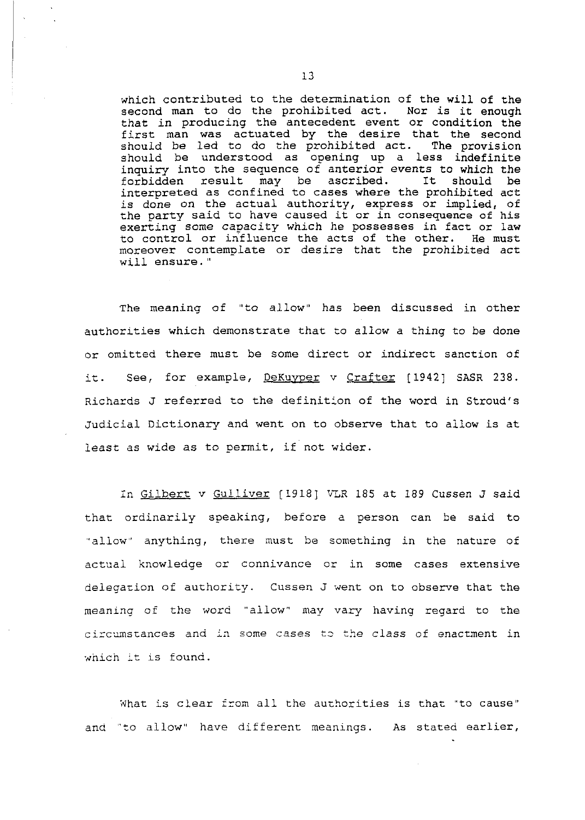which contributed to the determination of the will of the second man to do the prohibited act. Nor is it enough that in producing the antecedent event or condition the first man was actuated by the desire that the second should be led to do the prohibited act. The provision should be led to do the prohibited act. should be understood as opening up a less indefinite inquiry into the sequence of anterior events to which the forbidden result may be ascribed. It should be interpreted as confined to cases where the prohibited act is done on the actual authority, express or implied, of the party said to have caused it or in consequence of his exerting some capacity which he possesses in fact or law<br>to control or influence the acts of the other. He must to control or influence the acts of the other. moreover contemplate or desire that the prohibited act will ensure."

The meaning of "to allow" has been discussed in other authorities which demonstrate that to allow a thing to be done or omitted there must be some direct or indirect sanction of it. See, for example, DeKuyper v Crafter [1942] SASR 238. Richards J referred to the definition of the word in Stroud's Judicial Dictionary and went on to observe that to allow is at least as wide as to permit, if not wider.

In Gilbert v Gulliver [1918] VLR 185 at 189 Cussen J said that ordinarily speaking, before a person can be said to "allow" anything, there must be something in the nature of actual knowledge or connivance or in some cases extensive delegation of authority. Cussen J went on to observe that the meaning of the word "allow" may vary having regard to the circumstances and in some cases to the class of enactment in which it is found.

Xhat is clear fxom all the authorities is that "to cause" and 'to allow" have different meanings. As stated earlier,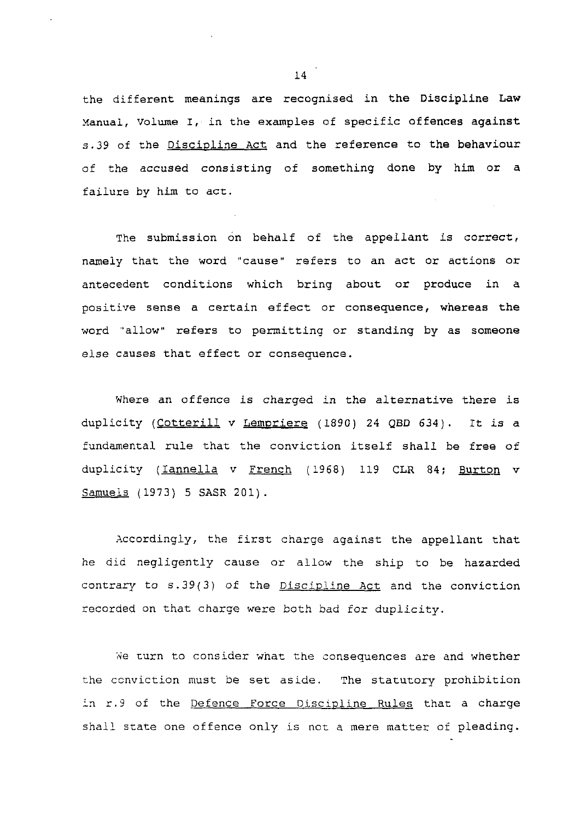the different meanings are recognised in the Discipline Law xanual, Volume I, in the examples of specific offences against s.39 of the Discipline Act and the reference to the behaviour of the accused consisting of something done by him or a failure by him to act.

The submission on behalf of the appellant is correct, namely that the word "cause" refers to an act or actions or antecedent conditions which bring about or produce in a positive sense a certain effect or consequence, whereas the word "allow" refers to permitting or standing by as someone else causes that effect or consequence.

Where an offence is charged in the alternative there is duplicity (Cotterill v Lempriere (1890) 24 QBD 634). It is a fundamental rule that the conviction itself shall be free of duplicity (Iannella v French (1968) 119 CLR 84; Burton v Samuels (1973) 5 SASR 201).

Accordingly, the first charge against the appellant that he did negligently cause or allow the ship to be hazarded contrary to  $s.39(3)$  of the Discipline Act and the conviction recorded on that charge were both bad for duplicity.

We turn to consider what the consequences are and whether the ccnviction must be set aside. The statutory prohibition in r.9 of the Defence Force Discipline Rules that a charge shall state one offence only is not a mere matter of pleading.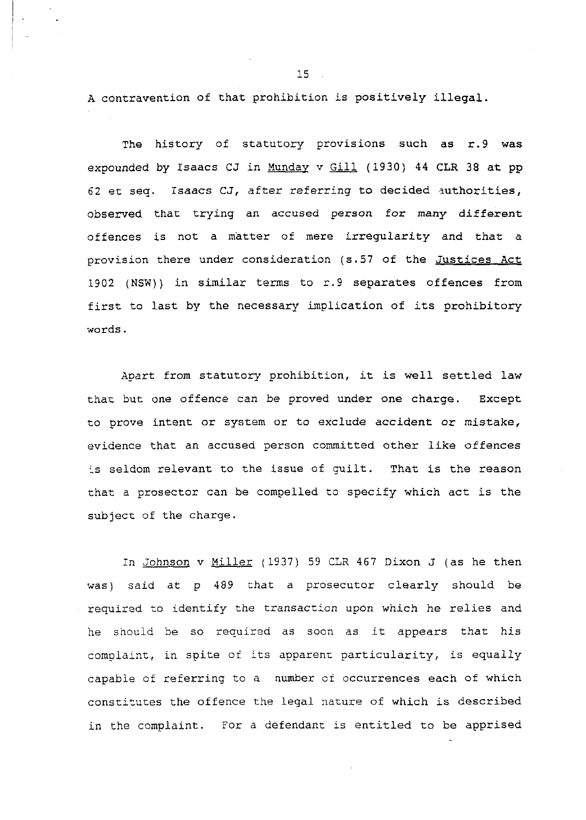A contravention of that prohibition is positively illegal.

The history of statutory provisions such as r.9 was expounded by Isaacs CJ in Munday v Gill (1930) 44 CLR 38 at pp 62 et seq. Isaacs CJ, after referring to decided authorities, observed that trying an accused person for many different offences is not a matter of mere irregularity and that a provision there under consideration (s.57 of the Justices Act 1902 (NSW)) in similar terms to r.9 separates offences from first to last by the necessary implication of its prohibitory words.

Apart from statutory prohibition, it is well settled law thar but one offence can be proved under one charge. Except to prove intent or system or to exclude accident or mistake, evidence that an accused person committed other like offences is seldom relevant to the issue of guilt. That is the reason that a prosector can be compelled to specify which act is the subjecc of the charge.

In Johnson v Miller (1937) 59 CLR 467 Dixon J (as he then was) said at p 499 that a prosecutor clearly should be required to identify the transaction upon which he relies and he should be so required as soon as it appears that his complaint, in spite of its apparent particularity, is equally capable of referring to a number of occurrences each of which constitutes the offence the legal nature of which is described in the complaint. For a defendant is entitled to be apprised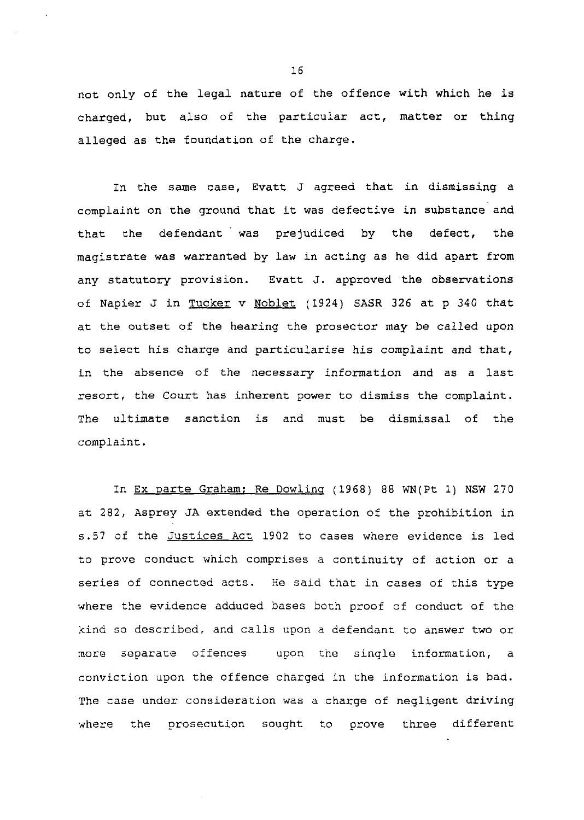not only of the legal nature of the offence with which he is charged, but also of the particular act, matter or thing alleged as the foundation of the charge.

In the same case, Evatt **J** agreed that in dismissing a complaint on the ground that it was defective in substance and that the defendant was prejudiced by the defect, the magistrate was warranted by law in acting as he did apart from any statutory provision. Evatt J. approved the observations of Napier J in Tucker v Noblet (1924) SASR 326 at p 340 that at the outset of the hearing the prosector may be called upon to select his charge and particularise his complaint and that, in the absence of the necessary information and as a last resort, the Court has inherent power to dismiss the complaint. The ultimate sanction is and must be dismissal of the complaint.

In Ex parte Graham: Re Dowlinq (1968) 88 WN(Pt 1) NSW 270 at 282, Asprey JA extended the operation of the prohibition in s.57 of the Justices Act 1902 to cases where evidence is led to prove conduct which comprises a continuity of action or a series of connected acts. He said that in cases of this type where the evidence adduced bases both proof of conduct of the kind so described, and calls upon a defendant to answer two or more separate offences upon the single information, a conviction upon the offence charged in the information is bad. The case under consideration was a charge of negligent driving where the prosecution sought to prove three different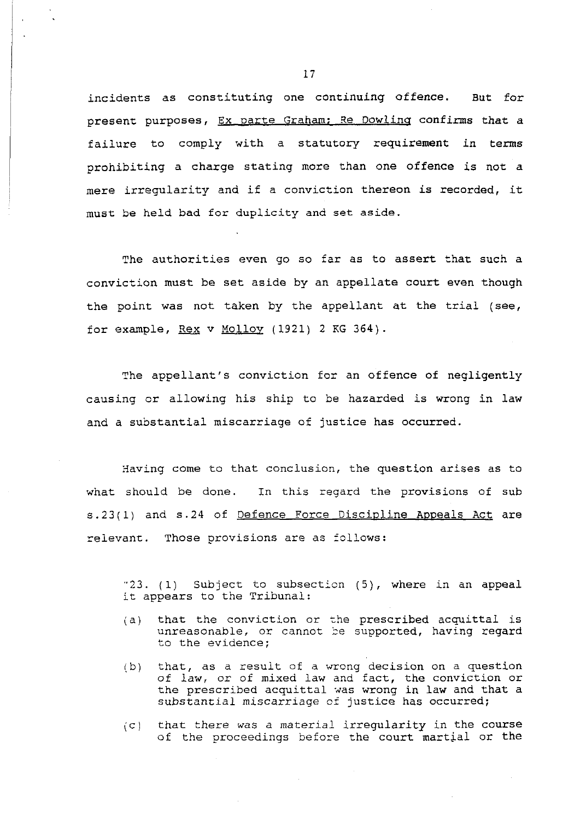incidents as constituting one continuing offence. But for present purposes, Ex parte Graham: Re Dowling confirms that a failure to comply with a statutory requirement in terms prohibiting a charge stating more than one offence is not a mere irregularity and if a conviction thereon is recorded, it must be held bad for duplicity and set aside.

The authorities even go so far as to assert that such a conviction must be set aside by an appellate court even though the point was not taken by the appellant at the trial (see, for example,  $\text{Re}x$  v Molloy (1921) 2 KG 364).

The appellant's conviction for an offence of negligently causing or allowing his ship to be hazarded is wrong in law and a substantial miscarriage of justice has occurred.

Having come to that conclusion, the question arises as to what should be done. In this regard the provisions of sub s.23(1) and s.24 of Defence Force Discipline Appeals Act are relevant. Those provisions are as follows:

 $-23.$  (1) Subject to subsection (5), where in an appeal it appears to the Tribunal:

- (a) that the conviction or the prescribed acquittal is unreasonable, or cannot be supported, having regard to the evidence;
- *(5)* that, as a result of a wrong decision on a question of law, or of mixed law and fact, the conviction or the prescribed acquittal xas wrong in law and that a substantial miscarriage of justice has occurred;
- (c) that there was a material irregularity in the course of the proceedings befoze the court martial or the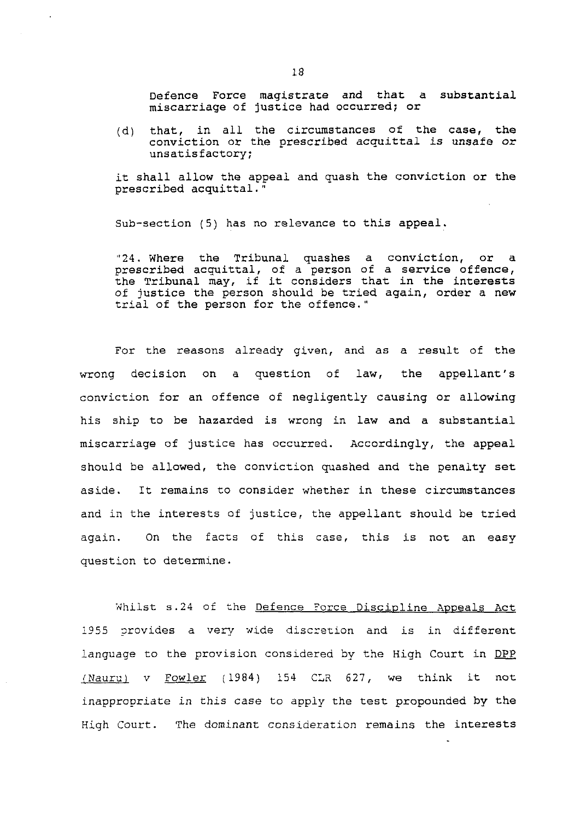Defence Force magistrate and that a substantial miscarriage of justice had occurred; or

(d) that, in all the circumstances of the case, the conviction or the prescribed acquittal is unsafe or unsatisfactory;

it shall allow the appeal and quash the conviction or the prescribed acquittal. "

Sub-section (5) has no relevance to this appeal.

"24. Where the Tribunal quashes a conviction, or a prescribed acquittal, of a person of a service offence, the Tribunal may, if it considers that in the interests of justice the person should be tried again, order a new trial of the person for the offence."

For the reasons already given, and as a result of the wrong decision on a question of law, the appellant's conviction for an offence of negligently causing or allowing his ship to be hazarded is wrong in law and a substantial miscarriage of justice has occurred. Accordingly, the appeal should be allowed, the conviction quashed and the penalty set aside. It remains to consider whether in these circumstances and in the interests of justice, the appellant should be tried again. On the facts of this case, this is not an easy question to determine

Whilst s.24 of the Defence Force Discipline Appeals Act 1955 provides a very wide discretion and is in different language to the provision considered by the High Court in DPP  $(Nauru)$  v Fowler (1984) 154 CLR 627, we think it not inappropriate in this case to appiy the test propounded by the High Court. The dominant consideration remains the interests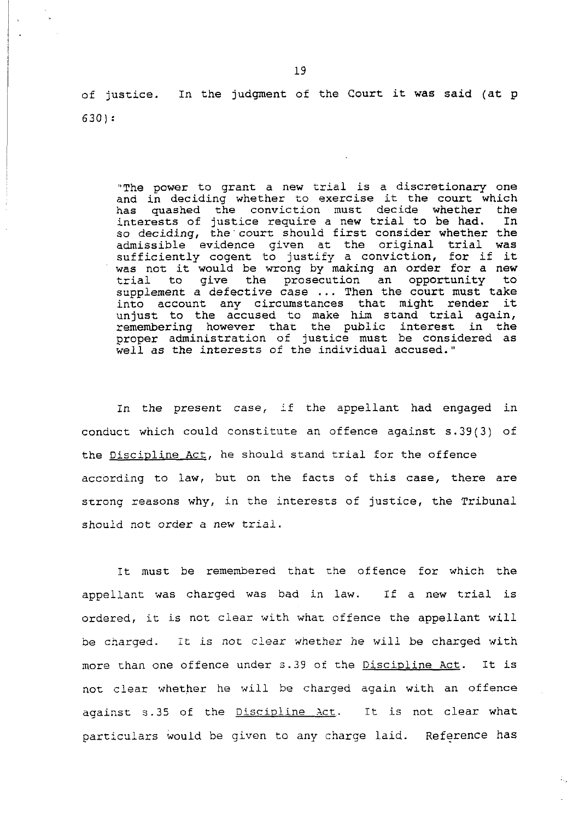of justice. In the judgment of the Court it was said (at p 630) :

"The power to grant a new trial is a discretionary one and in deciding whether to exercise it the court which has quashed the conviction must decide whether the<br>interests of justice require a new trial to be had. In interests of justice require a new trial to be had. so deciding, the court should first consider whether the admissible evidence given at the original trial was sufficiently cogent to justify a conviction, for if it was not it would be wrong by making an order for a new trial to give the prosecution an opportunity to supplement a defective case  $\ldots$  Then the court must take into account any circumstances that might render it unjust to the accused to make him stand trial again, remembering however that the public interest in the proper administration of justice must be considered as well as the interests of the individual accused."

In the present case, if the appellant had engaged in conduct which could constitute an offence against s.39(3) of the Discipline Act, he should stand trial for the offence according to law, but on the facts of this case, there are strong reasons why, in the interests of justice, the Tribunal should not order a new trial.

It must be remembered that the offence for which the appellant was charged was bad in law. If a new trial is ordered, it is not clear with what offence the appellant will be cnarged. Tt is not clear whether he will be charged with more than one offence under s.39 of the Discipline Act. It is not clear whether he will be charged again with an offence against 5.35 of the Discipline Act. It is not clear what particulars would be given to any charge laid. Reference has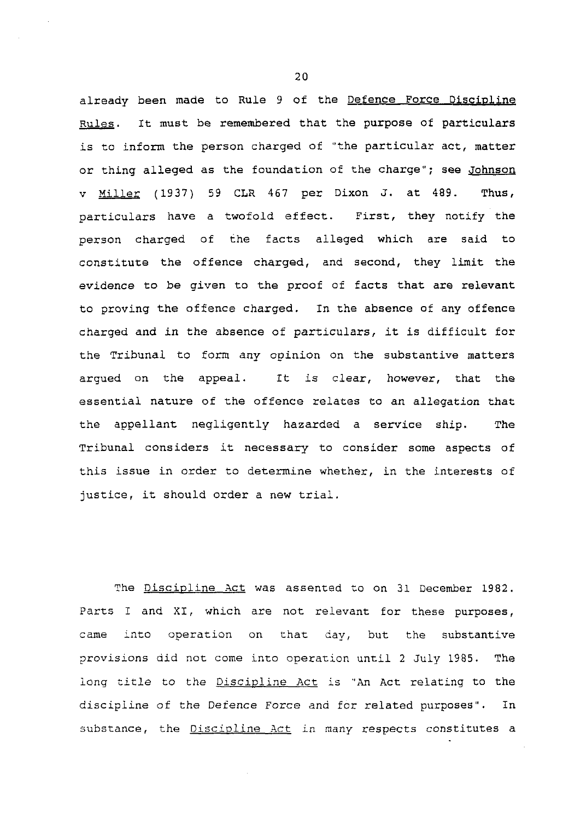already been made to Rule 9 of the Defence Force Discipline Rules. It must be remembered that the purpose of particulars is to inform the person charged of "the particular act, matter or thing alleged as the foundation of the charge"; see Johnson V (1937) 59 CLR 467 per Dixon **J.** at 489. Thus, particulars have a twofold effect. First, they notify the person charged of the facts alleged which are said to constitute the offence charged, and second, they limit the evidence to be given to the proof of facts that are relevant to proving the offence charged. In the absence of any offence charged and in the absence of particulars, it is difficult for the Tribunal to form any opinion on the substantive matters argued on the appeal. It is clear, however, that the essential nature of the offence relates to an allegation that the appellant negligently hazarded a service ship. The Tribunal considers it necessary to consider some aspects of this issue in order to determine whether, in the interests of justice, it should order a new trial.

The Discipline Act was assented to on 31 December 1982. Parts I and XI, which are not relevant for these purposes, came into operation on that day, but the substantive provisions aid not come into operation until **2** July 1985. The long title to the Discipline Act is "An Act relating to the discipline of the Defence Force and for related purposes". In substance, the Discipline Act in many respects constitutes a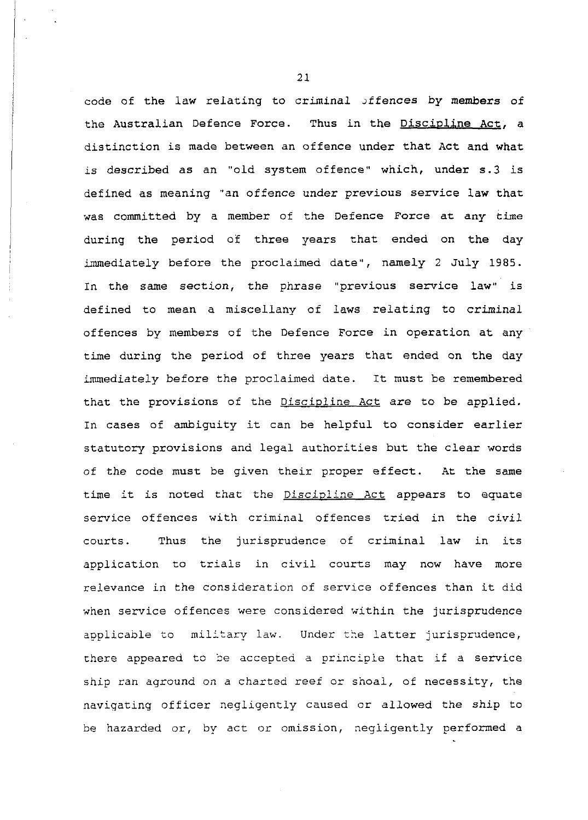code of the law relating to criminal offences by members of the Australian Defence Force. Thus in the Discipline Act, a distinction is made between an offence under that Act and what is described as an "old system offence" which, under s.3 is defined as meaning "an offence under previous service law that was committed by a member of the Defence Force at any time during the period of three years that ended on the day immediately before the proclaimed date", namely 2 July 1985. In the same section, the phrase "previous service law" is defined to mean a miscellany of laws relating to criminal offences by members of the Defence Force in operation at any time during the period of three years that ended on the day immediately before the proclaimed date. It must be remembered that the provisions of the Discipline Act are to be applied. In cases of ambiguity it can be helpful to consider earlier statutory provisions and legal authorities but the clear words of the code must be given their proper effect. At the same time it is noted that the Discipline Act appears to equate service offences with criminal offences tried in the civil courts. Thus the jurisprudence of criminal law in its application to trials in civil courts may now have more relevance in the consideration of service offences than it did when service offences were considered within the jurisprudence applicable to military law. Under the latter jurisprudence, there appeared to be accepted a principle that if a service ship ran aground on a charted reef or shoal, of necessity, the naviqating officer negligently caused or allowed the ship to be hazarded or, by act or omission, negligently performed a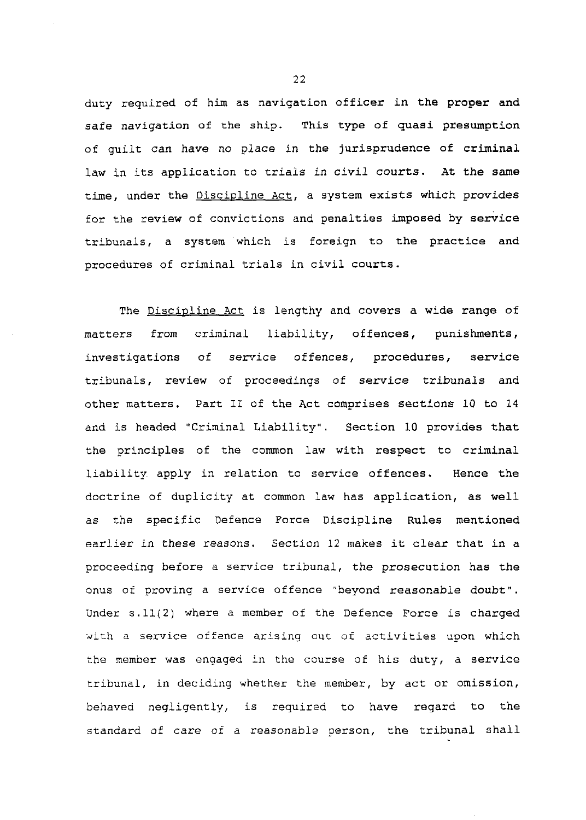duty required of him as navigation officer in the proper and safe navigation of the ship. This type of quasi presumption of guilt can have no place in the jurisprudence of criminal law in its application to trials in civil courts. At the same time, under the Discipline Act, a system exists which provides for the review of convictions and penalties imposed by service tribunals, a system 'which is foreign to the practice and procedures of criminal trials in civil courts.

The Discipline Act is lengthy and covers a wide range of matters from criminal liability, offences, punishments, investigations of service offences, procedures, service tribunals, review of proceedings of service tribunals and other matters. Part I1 of the Act comprises sections 10 to 14 and is headed "Criminal Liability". Section **10** provides that the principles of the common law with respect to criminal liability apply in relation to service offences. Hence the doctrine of duplicity at common law has application, as well as the specific Defence Force Discipline Rules mentioned earlier in these reasons. Section 12 makes it clear that in a proceeding before a service tribunal, the prosecution has the onus of proving a service offence "beyond reasonable doubt". Under s.11(2) where a member of the Defence Force is charged with a service offence arising out of activities upon which the member was engaged in the course of his duty, a service tribunal, in deciding whether the member, by act or omission, behaved negligently, is required to have regard to the standard of care of a reasonable person, the tribunal shall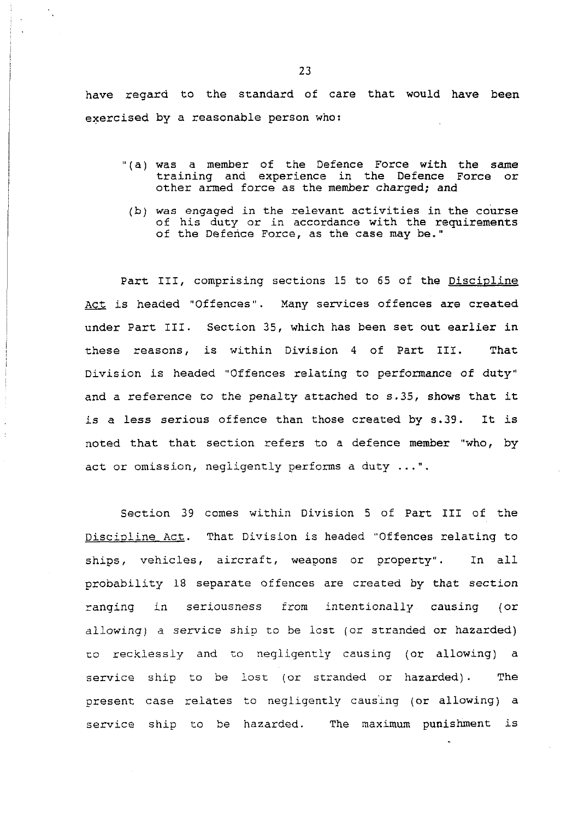have regard to the standard of care that would have been exercised by a reasonable person who:

- "(a) was a member of the Defence Force with the same training and experience in the Defence Force or other armed force as the member charged; and
- (b) **was** engaged in the relevant activities in the course of his duty or in accordance with the requirements of the Defence Force, as the case may be."

Part 111, comprising sections 15 to 65 of the Discipline Act is headed "Offences". Many services offences are created under Part 111. Section 35, which has been set out earlier in these reasons, is within Division 4 of Part 111. That Division is headed "Offences relating to performance of duty" and a reference to the penalty attached to *s.35,* shows that it is a less serious offence than those created by 9.39. It is noted that that section refers to a defence member "who, by act or omission, negligently performs a duty ...".

Section 39 comes within Division 5 of Part I11 of the Discioline Act. That Division is headed "Offences relating to ships, vehicles, aircraft, weapons or property". In all probability 18 separate offences are created by that section ranging in seriousness from intentionally causing (or allowing) a service ship to be lost (or stranded or hazarded) to recklessly and to negligently causing (or allowing) a service ship to be lost (or stranded or hazarded). The present case relates to negligently causing (or allowing) a service ship to be nazarded. The maximum punishment is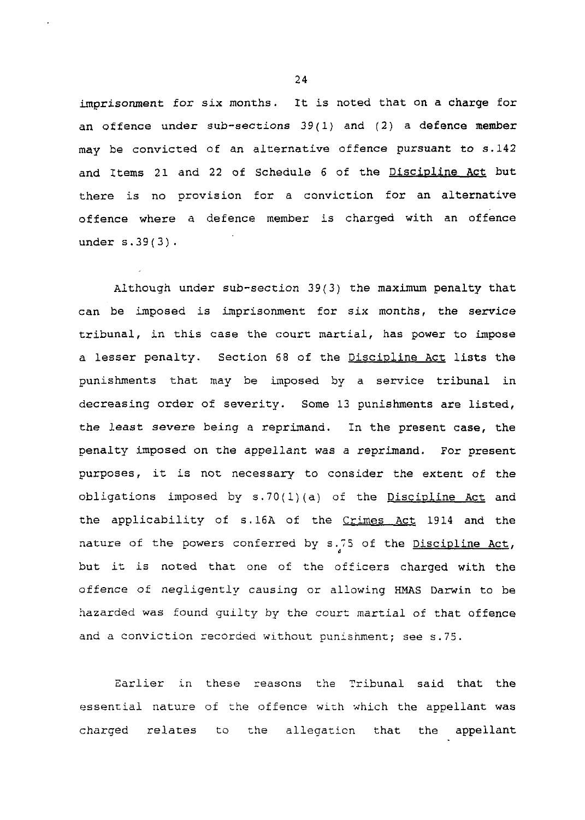imprisonment for six months. It is noted that on a charge for an offence under sub-sections  $39(1)$  and  $(2)$  a defence member may be convicted of an alternative offence pursuant to s.142 and Items 21 and 22 of Schedule 6 of the Discipline Act but there is no provision for a conviction for an alternative offence where a defence member is charged with an offence under s.39(3).

Although under sub-section 39(3) the maximum penalty that can be imposed is imprisonment for six months, the service tribunal, in this case the court martial, has power to impose a lesser penalty. Section 68 of the Discipline Act lists the punishments that may be imposed by a service tribunal in decreasing order of severity. Some 13 punishments are listed, the least severe being a reprimand. In the present case, the penalty imposed on the appellant was a reprimand. For present purposes, it is not necessary to consider the extent of the obligations imposed by  $s.70(1)(a)$  of the Discipline Act and the applicability of s.16A of the Crimes Act 1914 and the nature of the powers conferred by s.75 of the Discipline Act, but it is noted that one of the officers charged with the offence of negligently causing or allowing HMAS Darwin to be hazarded was found guilty by the court martial of that offence and a conviction recorded without punishment; see s.75.

Earlier in these reasons the Tribunal said that the essential nature of the offence with which the appellant was charged relates to the allegation that the appellant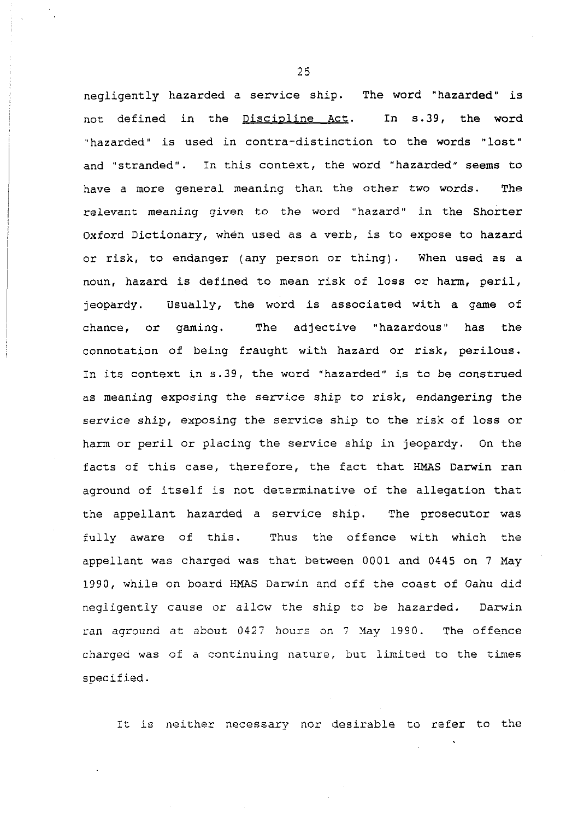negligently hazarded a service ship. The word "hazarded" is not defined in the Discipline Act. In s.39, the word "hazarded" is used in contra-distinction to the words "lost" and "stranded". In this context, the word "hazarded" seems to have a more general meaning than the other two words. The relevant meaning given to the word "hazard" in the Shorter Oxford Dictionary, when used as a verb, is to expose to hazard or risk, to endanger (any person or thing). When used as a noun, hazard is defined to mean risk of loss or harm, peril, jeopardy. Usually, the word is associated with a game of chance, or gaming. The adjective "hazardous" has the connotation of being fraught with hazard or risk, perilous. In its context in s.39, the word "hazarded" is to be construed as meaning exposing the service ship to risk, endangering the service ship, exposing the service ship to the risk of loss or harm or peril or placing the service ship in jeopardy. On the facts of this case, therefore, the fact that HMAS Darwin ran aground of itself is not determinative of the allegation that the appellant hazarded a service ship. The prosecutor was fully aware of this. Thus the offence with which the appellant was charged was that between 0001 and 0445 on 7 May 1990, while on board HMAS Darwin and off the coast of Oahu did negiigentiy cause or allow the ship to be hazarded. Darwin ran aground at about 0427 hours on 7 May 1990. The offence charged was of a continuing nature, bur, limited to the times specified.

It is neither necessary nor desirable to refer to the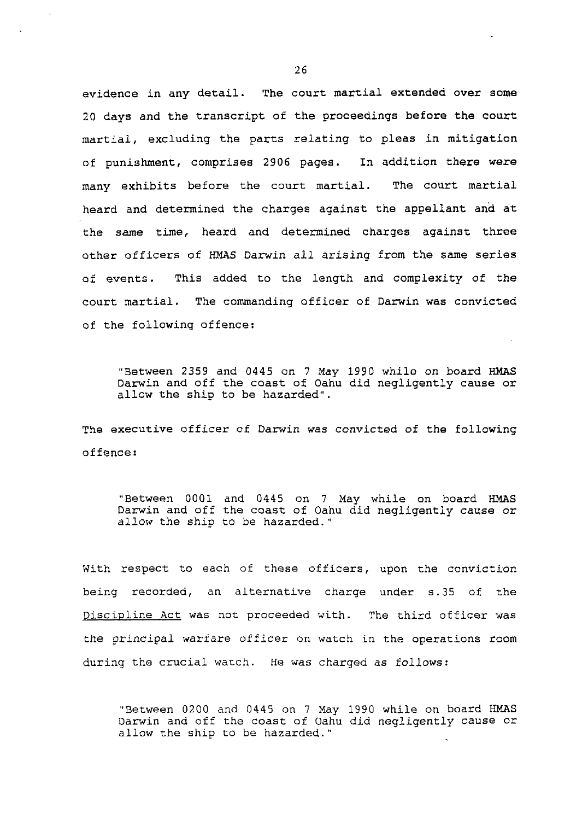evidence in any detail. The court martial extended over some 20 days and the transcript of the proceedings before the court martial, excluding the parts relating to pleas in mitigation of punishment, comprises 2906 pages. In addition there were many exhibits before the court martial. The court martial heard and determined the charges against the appellant and at the same time, heard and determined charges against three other officers of HMAS Darwin all arising from the same series of events. This added to the length and complexity of the court martial. The commanding officer of Darwin was convicted of the following offence:

"Between 2359 and 0445 on 7 May 1990 while on board HMAS Darwin and off the coast of Oahu did negligently cause or allow the ship to be hazarded".

The executive officer of Darwin was convicted of the following offence :

"Between 0001 and 0445 on 7 Nay while on board HMAS Darwin and off the coast of Oahu did negligently cause or allow the ship to be hazarded."

With respect to each of these officers, upon the conviction being recorded, an alternative charge under s.35 of the Discipline Act was not proceeded with. The third officer was the principal warfare officer on watch in the operations room during the crucial watch. He was charged as follows:

"Between 0200 and 0445 on 7 Xay 1990 while on board HMAS Darwin and off the coast of Oahu did negligently cause or allow the ship to be hazarded."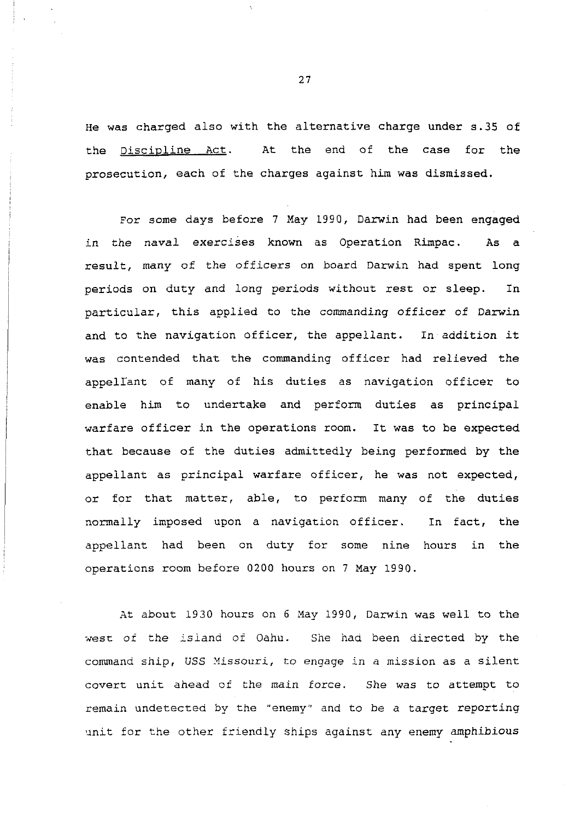He was charged also with the alternative charge under s.35 of the Discipline Act. At the end of the case for the prosecution, each of the charges against him was dismissed.

For some days before 7 May 1990, Darwin had been engaged in the naval exercises known as Operation Rimpac. As a result, many of the officers on board Darwin had spent long periods on duty and long periods without rest or sleep. In particular, this applied to the commanding officer of Darwin and to the navigation officer, the appellant. In addition it was contended that the commanding officer had relieved the appellant of many of his duties as navigation officer to enable him to undertake and perform duties as principal warfare officer in the operations room. It was to be expected that because of the duties admittedly being performed by the appellant as principal warfare officer, he was not expected, or for that matter, able, to perform many of the duties normally imposed upon a navigation officer. In fact, the appellant had been on duty for some nine hours in the operations room before 0200 hours on 7 May 1990.

At about 1930 hours on 6 Nay 1990, Darwin was well to the **sresc** of the isiand of Oahu. She haa been directed by the command ship, **USS** Yissouri, to engage in a mission as a silent covert unit ahead of the main force. She was to attempt to remain undetected by the "enemy" and to be a target reporting unit for the other friendly ships against any enemy amphibious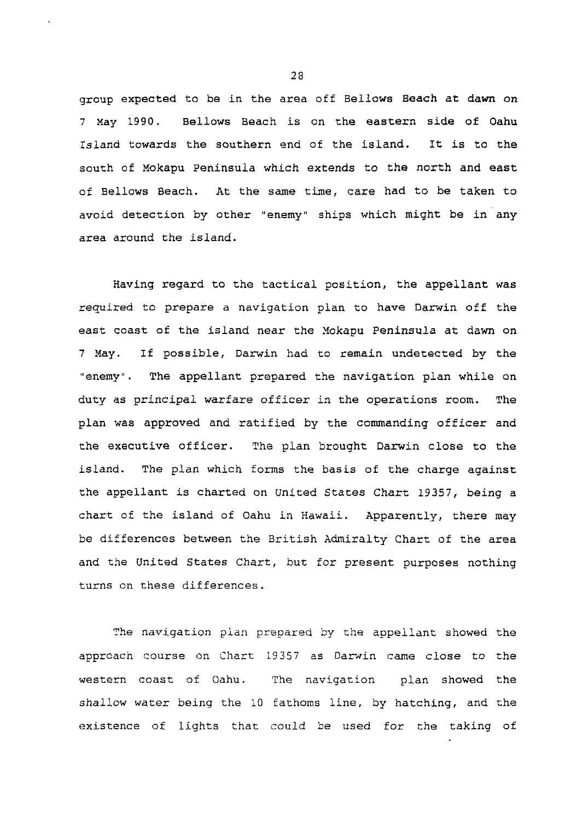group expected to be in the area off Bellows Beach at dawn on 7 Xay 1990. Bellows Beach is on the eastern side of Oahu Island towards the southern end of the island. It is to the south of Mokapu Peninsula which extends to the north and east of Bellows Beach. At the same time, care had to be taken to avoid detection by other "enemy" ships which might be in any area around the island.

Having regard to the tactical position, the appellant was required to prepare a navigation plan to have Darwin off the east coast of the island near the Yokapu Peninsula at dawn on 7 May. If possible, Darwin had to remain undetected by the "enemy". The appellant prepared the navigation plan while on duty as principal warfare officer in the operations room. The plan was approved and ratified by the commanding officer and the executive officer. The plan brought Darwin close to the island. The plan which forms the basis of the charge against the appellant is charted on United States Chart 19357, being a chart of the island of Oahu in Hawaii. Apparently, there may be differences between the British Admiralty Chart of the area and the United States Chart, but for present purposes nothing turns on these differences.

The navigation plan prepared by the appellant showed the approach course on Chart 19357 as Darwin came close to the western coast of Oahu. The navigation plan showed the shallow water being the 10 fathoms line, by hatching, and the existence of lights that could be used for the taking of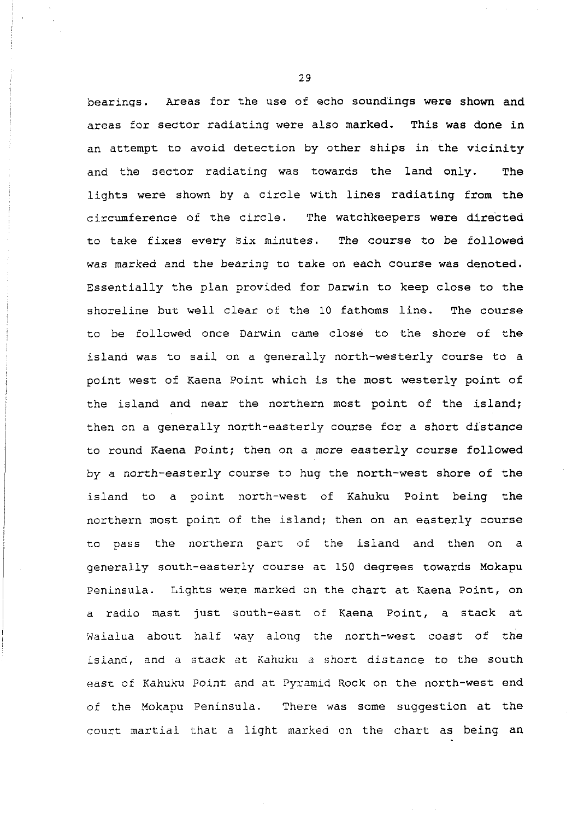bearings. Areas for the use of echo soundings were shown and areas for sector radiating were also marked. This was done in an attempt to avoid detection by other ships in the vicinity and the sector radiating was towards the land only. The lights were shown by a circle with lines radiating from the circumference of the circle. The watchkeepers were directed to take fixes every Six minutes. The course to be followed was marked and the bearing to take on each course was denoted. Essentially the plan provided for Darwin to keep close to the shoreline but well clear of the 10 fathoms line. The course to be followed once Darwin came close to the shore of the island was to sail on a generally north-westerly course to a point west of Kaena Point which is the most westerly point of the island and near the northern most point of the island; then on a generally north-easterly course for a short distance to round Kaena Point; then on a more easterly course followed by a north-easterly course to hug the north-west shore of the island to a point north-west of Kahuku Point being the northern most point of the island; then on an easterly course to pass the northern part of the island and then on a generally south-easterly course at 150 degrees towards Mokapu Peninsula. Lights were marked on the chart at Kaena Point, on a radio mast just south-east of Kaena Point, a stack at Waialua about half way along the north-west coast of the island, and a stack at Kahuku a snort distance to the south east of Kahuku Point and at Pyramid Rock on the north-west end of the Mokapu Peninsula. There was some suggestion at the court martial that a light marked on the chart as being an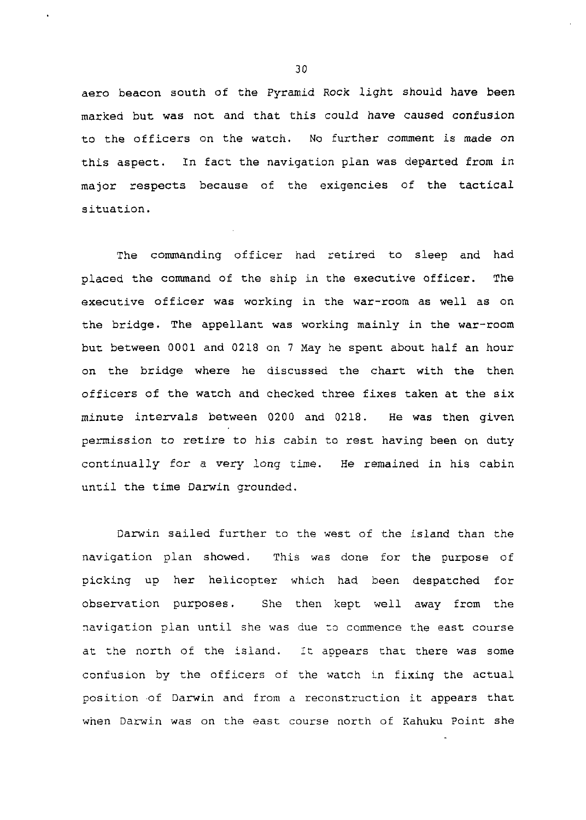aero beacon south of the Pyramid Rock light should have been marked but was not and that this could have caused confusion to the officers on the watch. No further comment is made on this aspect. In fact the navigation plan was departed from in major respects because of the exigencies of the tactical situation.

The commanding officer had retired to sleep and had placed the command of the ship in the executive officer. The executive officer was working in the war-room as well as on the bridge. The appellant was working mainly in the war-room but between 0001 and 0218 on 7 May he spent about half an hour on the bridge where he discussed the chart with the then officers of the watch and checked three fixes taken at the six minute intervals between 0200 and 0218. He was then given permission to retire to his cabin to rest having been on duty continually for a very long time. He remained in his cabin until the time Darwin grounded.

Darwin sailed further to the west of the island than the navigation plan showed. This was done for the purpose of picking up her helicopter which had been despatched for observation purposes. She then kept well away from the navigation plan until she was due to commence the east course at the north of the island. It appears that there was some confusion by the officers ot the watch in fixing the actual position of Darwin and from a reconstruction it appears that wnen Darwin was on the east course north of Kahuku Point she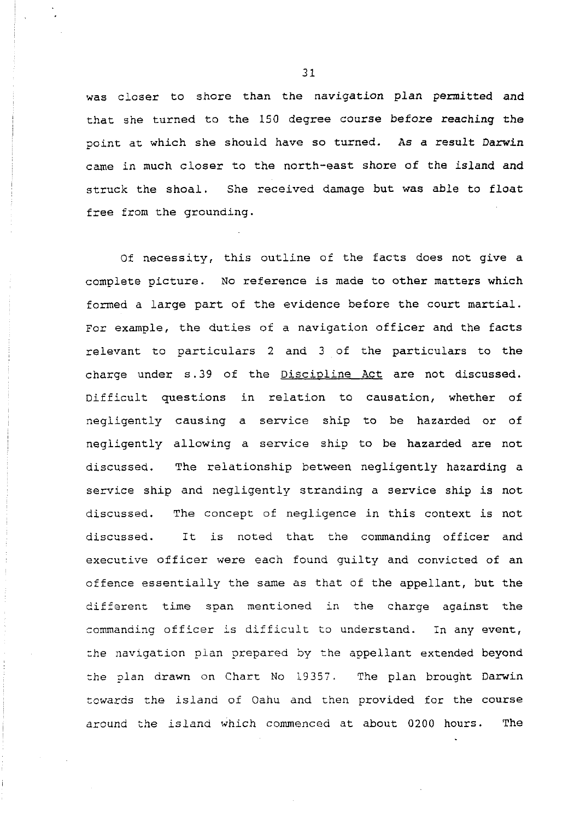was closer to shore than the navigation plan permitted and that she turned to the 150 degree course before reaching the point at which she should have so turned. As a result Darwin came in much closer to the north-east shore of the island and struck the shoal. She received damage but was able to float free from the grounding.

Of necessity, this outline of the facts does not give a complete picture. No reference is made to other matters which formed a large part of the evidence before the court martial. For example, the duties of a navigation officer and the facts relevant to particulars 2 and 3 of the particulars to the charge under s.39 of the Discipline Act are not discussed. Difficult questions in relation to causation, whether of negligently causing a service ship to be hazarded or of negligently allowing a service ship to be hazarded are not discussed. The relationship between negligently hazarding a service ship and negligently stranding a service ship is not discussed. The concept of negligence in this context is not discussed. It is noted that the commanding officer and executive officer were each found guilty and convicted of an offence essentially the same as that of the appellant, but the different time span mentioned in the charge against the commanding officer is difficult to understand. In any event, the navigation plan prepared by the appellant extended beyond the plan drawn on Chart No 19357. The plan brought Darwin towards the island of Oahu and then provided for the course around the island which commenced at about 0200 hours. The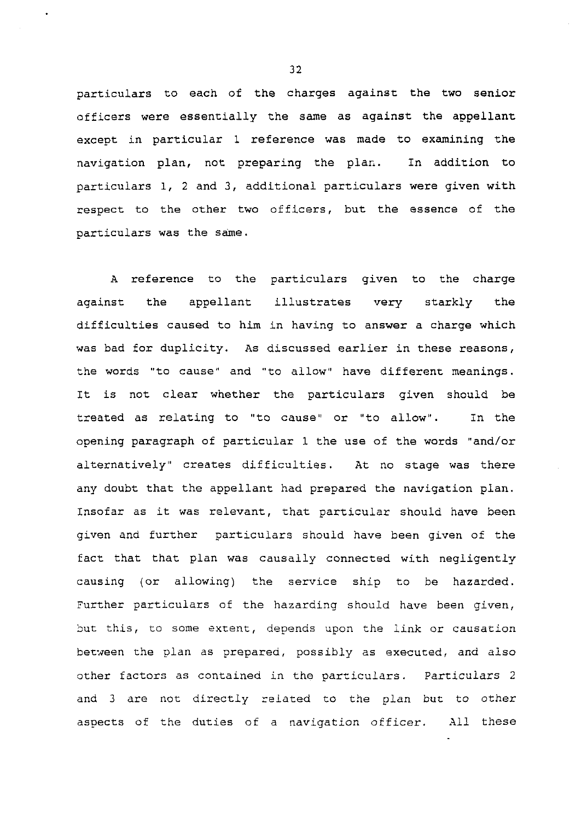particulars to each of the charges against the two senior officers were essentially the same as against the appellant except in particular 1 reference was made to examining the navigation plan, not preparing the plan. In addition to particulars 1, **2** and **3,** additional particulars were given with respect to the other two officers, but the essence of the particulars was the same.

A reference to the particulars given to the charge against the appellant illustrates very starkly the difficulties caused to him in having to answer a charge which was bad for duplicity. As discussed earlier in these reasons, the words "to cause" and "to allow" have different meanings. It is not clear whether the particulars given should be treated as relating to "to cause" or "to allow". In the opening paragraph of particular 1 the use of the words "and/or alternatively" creates difficulties. At no stage was there any doubt that the appellant had prepared the navigation plan. Insofar as it was relevant, that particular should have been given and further particulars should have been given of the fact that that plan was causally connected with negligently causing (or allowing) the service ship to be hazarded. Further particulars of the hazarding should have been given, but this, to some exzent, depends upon the link or causation between the plan as prepared, possibly as executed, and also other factors as contained in the particulars. Particulars 2 and **3** are not directly related to the plan but to other aspects of the duties of a navigation officer. All these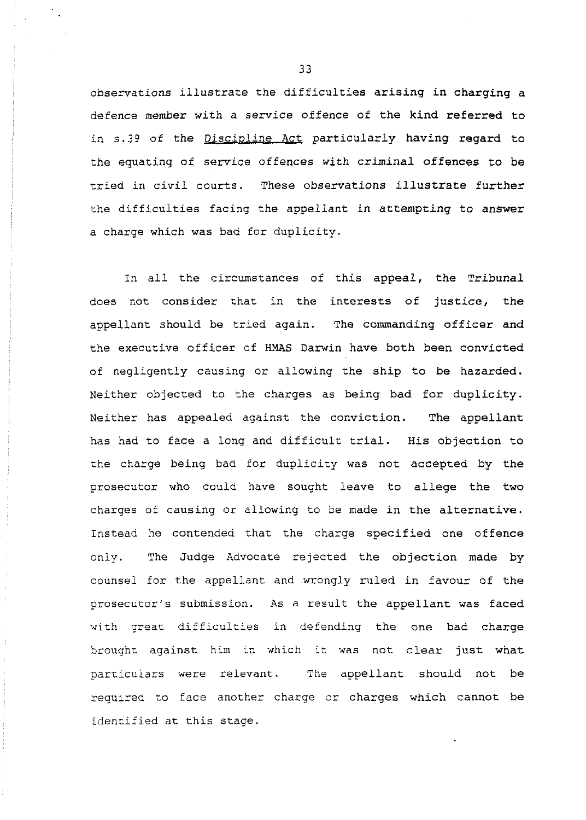observations illustrate the difficulties arising in charging a defence member with a service offence of the kind referred to in 5.39 of the Discipline Act particularly having regard to the equating of service offences with criminal offences to be tried in civil courts. These observations illustrate further the difficulties facing the appellant in attempting to answer a charge which was bad for duplicity.

In all the circumstances of this appeal, the Tribunal does not consider that in the interests of justice, the appellant should be tried again. The commanding officer and the executive officer of HMAS Darwin have both been convicted of negligently causing or allowing the ship to be hazarded. Neither objected to the charges as being bad for duplicity. Neither has appealed against the conviction. The appellant has had to face a long and difficult trial. His objection to the charge being bad for duplicity was not accepted by the prosecutor who could have sought leave to allege the two charges of causing or allowing to be made in the alternative. Instead he contended that the charge specified one offence only. The Judge Advocate rejected the objection made by counsel for the appellant and wrongly ruled in favour of the prosecutor's submission. As a result the appellant was faced with great difficulties in defending the one bad charge brougnt against him in which it was not clear just what particulars were relevant. The appellant should not be requized to face another charge or charges which cannot be identified at this stage.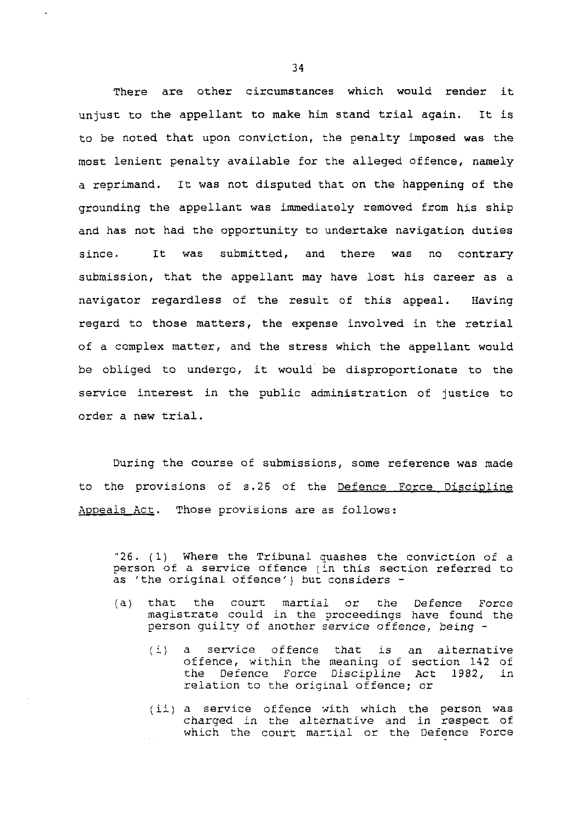There are other circumstances which would render it unjust to the appellant to make him stand trial again. It is to be noted that upon conviction, the penalty imposed was the most lenient penalty available for the alleged offence, namely a reprimand. It was not disputed that on the happening of the grounding the appellant was immediately removed from his ship and has not had the opportunity to undertake navigation duties since. It was submitted, and there was no contrary submission, that the appellant may have lost his career as a navigator regardless of the result of this appeal. Having regard to those matters, the expense involved in the retrial of a complex matter, and the stress which the appellant would be obliged to undergo, it would' be disproportionate to the service interest in the public administration of justice to order a new trial.

During the course of submissions, some reference was made to the provisions of s.26 of the Defence Force Discipline Appeals Act. Those provisions are as follows:

"26. (1) Where the Tribunal quashes the conviction of a person of a service offence (in this section referred to as 'the original offence') but considers -

- (a) that the court martiai or the Defence Force magistrate could in the proceedings have found the person guilty of another service offence, being -
	- (i) a service offence that is an alternative offence, within the meaning of section 142 of the Defence Force Discipline Act 1982, in relation to the original offence; or
	- (ii) a service offence with which the person was charged in the alternative and in respect of which the court martial or the Defence Force  $\epsilon_{\rm{max}}$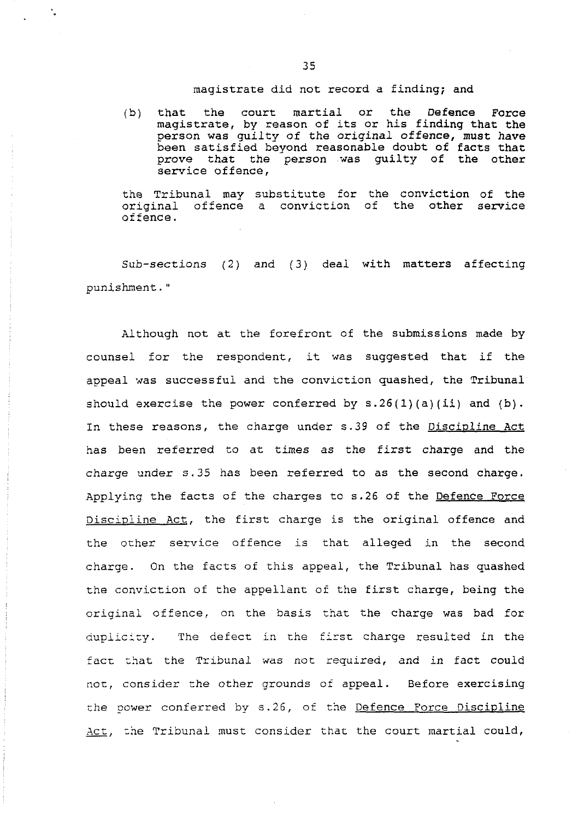# magistrate did not record a finding; and

(b) that the court martial or the Defence Force magistrate, by reason of its or his finding that the person was guilty of the original offence, must have been satisfied beyond reasonable doubt of facts that prove that the person was guilty of the other service offence,

the Tribunal may substitute for the conviction of the original offence a conviction of the other service of fence.

Sub-sections (2) and (3) deal with matters affecting punishment. "

Although not at the forefront of the submissions made by counsel for the respondent, it was suggested that if the appeal was successful and the conviction quashed, the Tribunal should exercise the power conferred by  $s.26(1)(a)(ii)$  and  $(b)$ . In these reasons, the charge under s.39 of the Discipline Act has been referred to at times as the first charge and the charge under S. 35 has been referred to as the second charge. Applying the facts of the charges to s.26 of the Defence Force Discipline Act, the first charge is the original offence and the other service offence is that alleged in the second charge. On the facts of this appeal, the Tribunal has quashed the conviction of the appellant of the first charge, being the original offence, on the basis that the charge was bad for duplicity. The defect in the first charge resulted in the fact that the Tribunal was not required, and in fact could not, consider the other grounds of appeal. Before exercising the power conferred by s.26, of the Defence Force Discipline  $Act,$  the Tribunal must consider that the court martial could,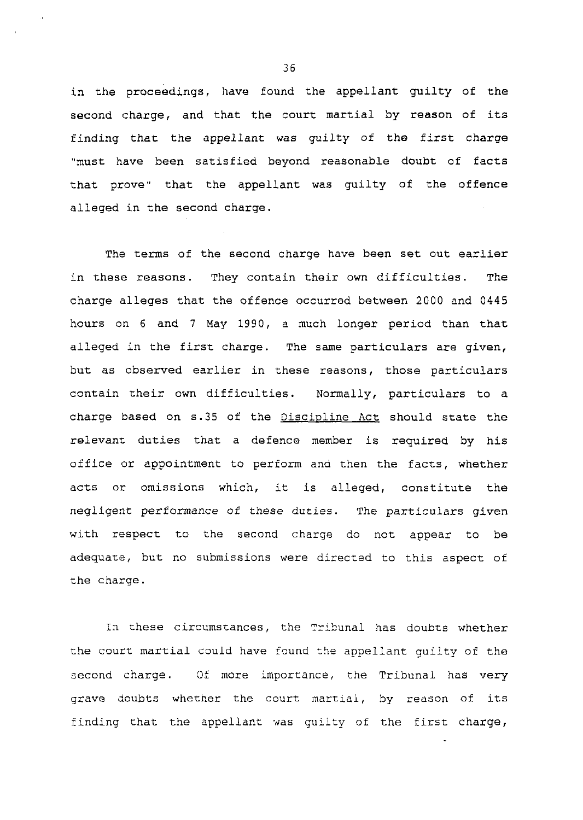in the proceedings, have found the appellant guilty of the second charge, and that the court martial by reason of its finding that the appellant was guilty of the first charge "must have been satisfied beyond reasonable doubt of facts that prove" that the appellant was guilty of the offence alleged in the second charge.

The terms of the second charge have been set out earlier in these reasons. They contain their own difficulties. The charge alleges that the offence occurred between 2000 and 0445 hours on 6 and 7 May 1990, a much longer period than that alleged in the first charge. The same particulars are given, but as observed earlier in these reasons, those particulars contain their own difficulties. Normally, particulars to a charge based on s.35 of the Discipline Act should state the relevant duties that a defence member is required by his office or appointment to perform and then the facts, whether acts or omissions which, it is alleged, constitute the negligent performance of these duties. The particulars given with respect to the second charge do not appear to be adequace, but no submissions were directed to this aspect of the charge.

In these circumstances, the Tribunal has doubts whether the court martial could have found the appellant guilty of the second charge. Of more importance, the Tribunal has **very**  grave doubts whether the court martiai, by reason of its finding that the appellant was quilty of the first charge,